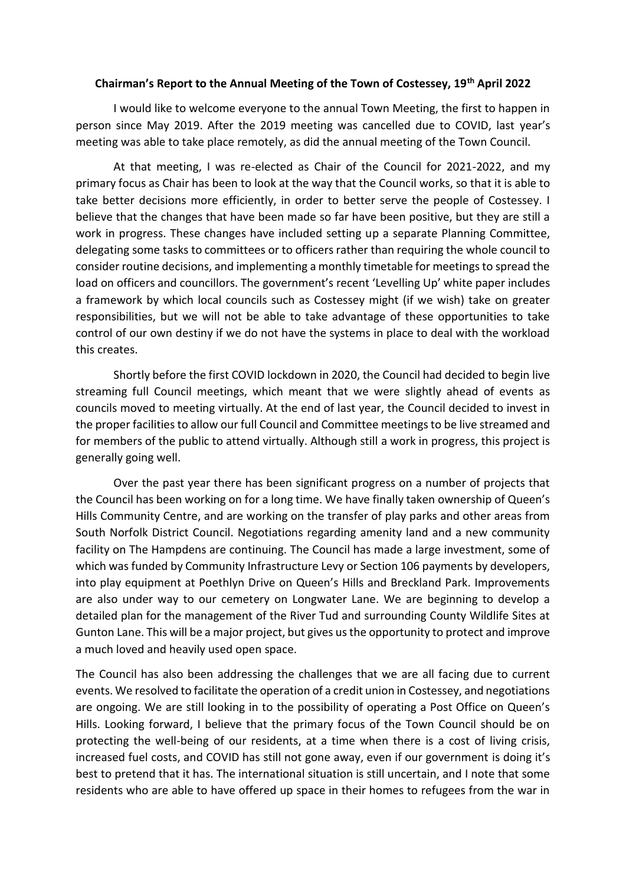## **Chairman's Report to the Annual Meeting of the Town of Costessey, 19th April 2022**

I would like to welcome everyone to the annual Town Meeting, the first to happen in person since May 2019. After the 2019 meeting was cancelled due to COVID, last year's meeting was able to take place remotely, as did the annual meeting of the Town Council.

At that meeting, I was re-elected as Chair of the Council for 2021-2022, and my primary focus as Chair has been to look at the way that the Council works, so that it is able to take better decisions more efficiently, in order to better serve the people of Costessey. I believe that the changes that have been made so far have been positive, but they are still a work in progress. These changes have included setting up a separate Planning Committee, delegating some tasks to committees or to officers rather than requiring the whole council to consider routine decisions, and implementing a monthly timetable for meetings to spread the load on officers and councillors. The government's recent 'Levelling Up' white paper includes a framework by which local councils such as Costessey might (if we wish) take on greater responsibilities, but we will not be able to take advantage of these opportunities to take control of our own destiny if we do not have the systems in place to deal with the workload this creates.

Shortly before the first COVID lockdown in 2020, the Council had decided to begin live streaming full Council meetings, which meant that we were slightly ahead of events as councils moved to meeting virtually. At the end of last year, the Council decided to invest in the proper facilities to allow our full Council and Committee meetings to be live streamed and for members of the public to attend virtually. Although still a work in progress, this project is generally going well.

Over the past year there has been significant progress on a number of projects that the Council has been working on for a long time. We have finally taken ownership of Queen's Hills Community Centre, and are working on the transfer of play parks and other areas from South Norfolk District Council. Negotiations regarding amenity land and a new community facility on The Hampdens are continuing. The Council has made a large investment, some of which was funded by Community Infrastructure Levy or Section 106 payments by developers, into play equipment at Poethlyn Drive on Queen's Hills and Breckland Park. Improvements are also under way to our cemetery on Longwater Lane. We are beginning to develop a detailed plan for the management of the River Tud and surrounding County Wildlife Sites at Gunton Lane. This will be a major project, but gives us the opportunity to protect and improve a much loved and heavily used open space.

The Council has also been addressing the challenges that we are all facing due to current events. We resolved to facilitate the operation of a credit union in Costessey, and negotiations are ongoing. We are still looking in to the possibility of operating a Post Office on Queen's Hills. Looking forward, I believe that the primary focus of the Town Council should be on protecting the well-being of our residents, at a time when there is a cost of living crisis, increased fuel costs, and COVID has still not gone away, even if our government is doing it's best to pretend that it has. The international situation is still uncertain, and I note that some residents who are able to have offered up space in their homes to refugees from the war in